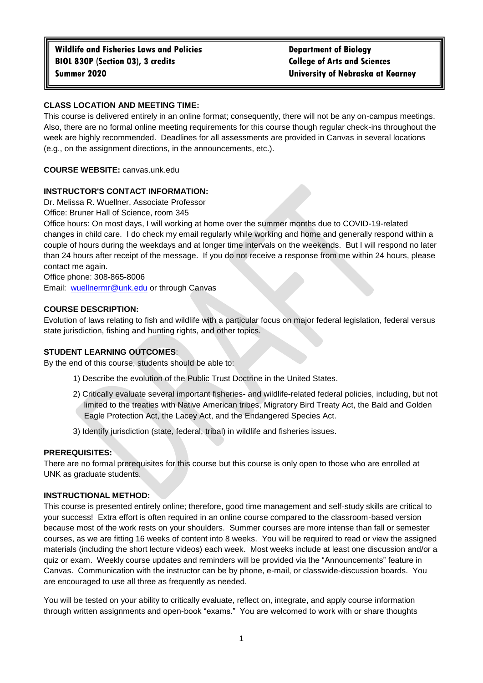# **CLASS LOCATION AND MEETING TIME:**

This course is delivered entirely in an online format; consequently, there will not be any on-campus meetings. Also, there are no formal online meeting requirements for this course though regular check-ins throughout the week are highly recommended. Deadlines for all assessments are provided in Canvas in several locations (e.g., on the assignment directions, in the announcements, etc.).

**COURSE WEBSITE:** canvas.unk.edu

## **INSTRUCTOR'S CONTACT INFORMATION:**

Dr. Melissa R. Wuellner, Associate Professor

Office: Bruner Hall of Science, room 345

Office hours: On most days, I will working at home over the summer months due to COVID-19-related changes in child care. I do check my email regularly while working and home and generally respond within a couple of hours during the weekdays and at longer time intervals on the weekends. But I will respond no later than 24 hours after receipt of the message. If you do not receive a response from me within 24 hours, please contact me again.

Office phone: 308-865-8006

Email: [wuellnermr@unk.edu](mailto:wuellnermr@unk.edu) or through Canvas

## **COURSE DESCRIPTION:**

Evolution of laws relating to fish and wildlife with a particular focus on major federal legislation, federal versus state jurisdiction, fishing and hunting rights, and other topics.

## **STUDENT LEARNING OUTCOMES**:

By the end of this course, students should be able to:

- 1) Describe the evolution of the Public Trust Doctrine in the United States.
- 2) Critically evaluate several important fisheries- and wildlife-related federal policies, including, but not limited to the treaties with Native American tribes, Migratory Bird Treaty Act, the Bald and Golden Eagle Protection Act, the Lacey Act, and the Endangered Species Act.
- 3) Identify jurisdiction (state, federal, tribal) in wildlife and fisheries issues.

## **PREREQUISITES:**

There are no formal prerequisites for this course but this course is only open to those who are enrolled at UNK as graduate students.

## **INSTRUCTIONAL METHOD:**

This course is presented entirely online; therefore, good time management and self-study skills are critical to your success! Extra effort is often required in an online course compared to the classroom-based version because most of the work rests on your shoulders. Summer courses are more intense than fall or semester courses, as we are fitting 16 weeks of content into 8 weeks. You will be required to read or view the assigned materials (including the short lecture videos) each week. Most weeks include at least one discussion and/or a quiz or exam. Weekly course updates and reminders will be provided via the "Announcements" feature in Canvas. Communication with the instructor can be by phone, e-mail, or classwide-discussion boards. You are encouraged to use all three as frequently as needed.

You will be tested on your ability to critically evaluate, reflect on, integrate, and apply course information through written assignments and open-book "exams." You are welcomed to work with or share thoughts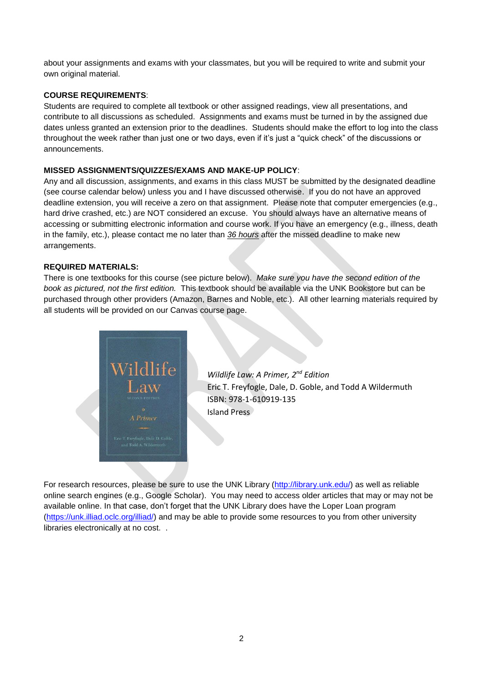about your assignments and exams with your classmates, but you will be required to write and submit your own original material.

## **COURSE REQUIREMENTS**:

Students are required to complete all textbook or other assigned readings, view all presentations, and contribute to all discussions as scheduled. Assignments and exams must be turned in by the assigned due dates unless granted an extension prior to the deadlines. Students should make the effort to log into the class throughout the week rather than just one or two days, even if it's just a "quick check" of the discussions or announcements.

## **MISSED ASSIGNMENTS/QUIZZES/EXAMS AND MAKE-UP POLICY**:

Any and all discussion, assignments, and exams in this class MUST be submitted by the designated deadline (see course calendar below) unless you and I have discussed otherwise. If you do not have an approved deadline extension, you will receive a zero on that assignment. Please note that computer emergencies (e.g., hard drive crashed, etc.) are NOT considered an excuse. You should always have an alternative means of accessing or submitting electronic information and course work. If you have an emergency (e.g., illness, death in the family, etc.), please contact me no later than *36 hours* after the missed deadline to make new arrangements.

## **REQUIRED MATERIALS:**

There is one textbooks for this course (see picture below). *Make sure you have the second edition of the book as pictured, not the first edition.* This textbook should be available via the UNK Bookstore but can be purchased through other providers (Amazon, Barnes and Noble, etc.). All other learning materials required by all students will be provided on our Canvas course page.



*Wildlife Law: A Primer, 2nd Edition* Eric T. Freyfogle, Dale, D. Goble, and Todd A Wildermuth ISBN: 978-1-610919-135 Island Press

For research resources, please be sure to use the UNK Library [\(http://library.unk.edu/\)](http://library.unk.edu/) as well as reliable online search engines (e.g., Google Scholar). You may need to access older articles that may or may not be available online. In that case, don't forget that the UNK Library does have the Loper Loan program [\(https://unk.illiad.oclc.org/illiad/\)](https://unk.illiad.oclc.org/illiad/) and may be able to provide some resources to you from other university libraries electronically at no cost. .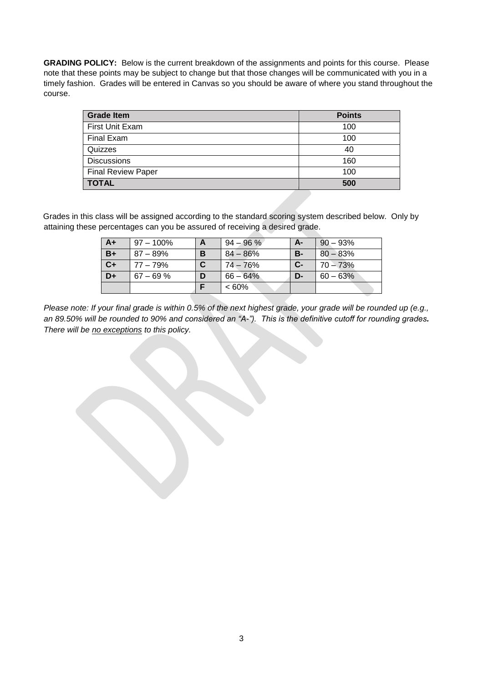**GRADING POLICY:** Below is the current breakdown of the assignments and points for this course. Please note that these points may be subject to change but that those changes will be communicated with you in a timely fashion. Grades will be entered in Canvas so you should be aware of where you stand throughout the course.

| <b>Grade Item</b>         | <b>Points</b> |
|---------------------------|---------------|
| First Unit Exam           | 100           |
| Final Exam                | 100           |
| Quizzes                   | 40            |
| <b>Discussions</b>        | 160           |
| <b>Final Review Paper</b> | 100           |
| <b>TOTAL</b>              | 500           |

Grades in this class will be assigned according to the standard scoring system described below. Only by attaining these percentages can you be assured of receiving a desired grade.

| $A+$ | 97 – 100%    |   | $94 - 96 \%$ | А-    | $90 - 93%$ |
|------|--------------|---|--------------|-------|------------|
| $B+$ | $87 - 89\%$  | в | $84 - 86%$   | B-    | $80 - 83%$ |
| $C+$ | 77 – 79%     |   | 74 – 76%     | $C -$ | $70 - 73%$ |
| D+   | $67 - 69 \%$ | D | $66 - 64\%$  | D-    | $60 - 63%$ |
|      |              |   | $<60\%$      |       |            |

*Please note: If your final grade is within 0.5% of the next highest grade, your grade will be rounded up (e.g., an 89.50% will be rounded to 90% and considered an "A-"). This is the definitive cutoff for rounding grades. There will be no exceptions to this policy.*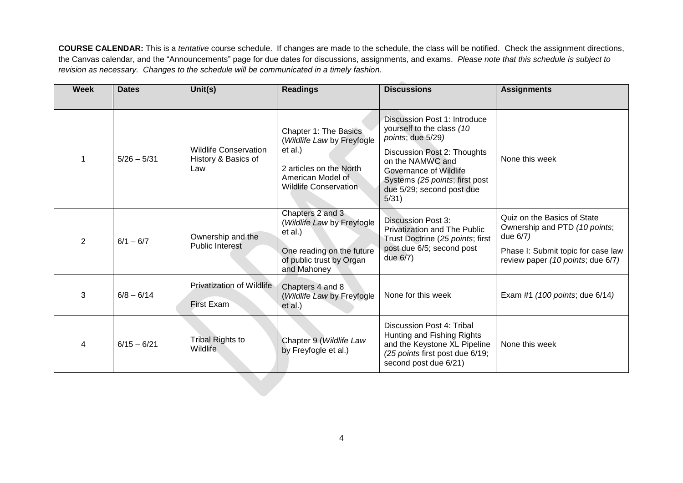**COURSE CALENDAR:** This is a *tentative* course schedule. If changes are made to the schedule, the class will be notified. Check the assignment directions, the Canvas calendar, and the "Announcements" page for due dates for discussions, assignments, and exams. *Please note that this schedule is subject to revision as necessary. Changes to the schedule will be communicated in a timely fashion.*

| <b>Week</b>    | <b>Dates</b>  | Unit(s)                                                    | <b>Readings</b>                                                                                                                                | <b>Discussions</b>                                                                                                                                                                                                                  | <b>Assignments</b>                                                                                                                                  |
|----------------|---------------|------------------------------------------------------------|------------------------------------------------------------------------------------------------------------------------------------------------|-------------------------------------------------------------------------------------------------------------------------------------------------------------------------------------------------------------------------------------|-----------------------------------------------------------------------------------------------------------------------------------------------------|
|                | $5/26 - 5/31$ | <b>Wildlife Conservation</b><br>History & Basics of<br>Law | Chapter 1: The Basics<br>(Wildlife Law by Freyfogle<br>et al.)<br>2 articles on the North<br>American Model of<br><b>Wildlife Conservation</b> | Discussion Post 1: Introduce<br>yourself to the class (10<br>points; due 5/29)<br>Discussion Post 2: Thoughts<br>on the NAMWC and<br>Governance of Wildlife<br>Systems (25 points; first post<br>due 5/29; second post due<br>5/31) | None this week                                                                                                                                      |
| $\overline{2}$ | $6/1 - 6/7$   | Ownership and the<br><b>Public Interest</b>                | Chapters 2 and 3<br>(Wildlife Law by Freyfogle<br>et al.)<br>One reading on the future<br>of public trust by Organ<br>and Mahoney              | <b>Discussion Post 3:</b><br><b>Privatization and The Public</b><br>Trust Doctrine (25 points; first<br>post due 6/5; second post<br>due 6/7)                                                                                       | Quiz on the Basics of State<br>Ownership and PTD (10 points;<br>due 6/7)<br>Phase I: Submit topic for case law<br>review paper (10 points; due 6/7) |
| 3              | $6/8 - 6/14$  | <b>Privatization of Wildlife</b><br>First Exam             | Chapters 4 and 8<br>(Wildlife Law by Freyfogle<br>et al.)                                                                                      | None for this week                                                                                                                                                                                                                  | Exam #1 (100 points; due 6/14)                                                                                                                      |
| 4              | $6/15 - 6/21$ | <b>Tribal Rights to</b><br>Wildlife                        | Chapter 9 (Wildlife Law<br>by Freyfogle et al.)                                                                                                | Discussion Post 4: Tribal<br>Hunting and Fishing Rights<br>and the Keystone XL Pipeline<br>(25 points first post due 6/19;<br>second post due 6/21)                                                                                 | None this week                                                                                                                                      |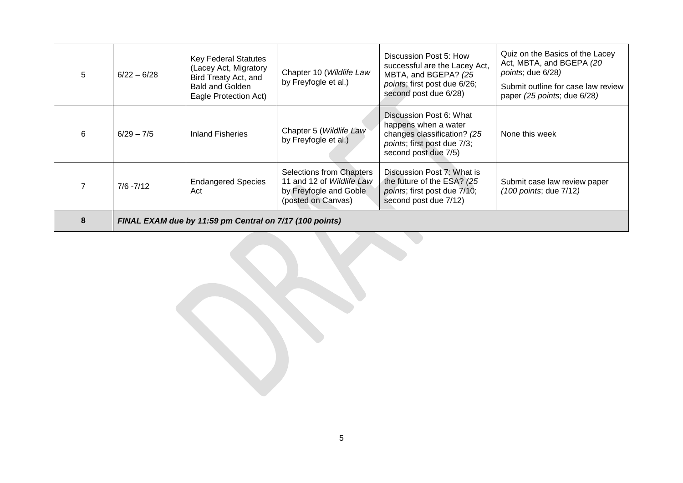| 5 | $6/22 - 6/28$                                           | <b>Key Federal Statutes</b><br>(Lacey Act, Migratory<br>Bird Treaty Act, and<br><b>Bald and Golden</b><br>Eagle Protection Act) | Chapter 10 (Wildlife Law<br>by Freyfogle et al.)                                                             | Discussion Post 5: How<br>successful are the Lacey Act,<br>MBTA, and BGEPA? (25<br>points; first post due 6/26;<br>second post due 6/28) | Quiz on the Basics of the Lacey<br>Act, MBTA, and BGEPA (20<br>points; due 6/28)<br>Submit outline for case law review<br>paper (25 points; due 6/28) |
|---|---------------------------------------------------------|---------------------------------------------------------------------------------------------------------------------------------|--------------------------------------------------------------------------------------------------------------|------------------------------------------------------------------------------------------------------------------------------------------|-------------------------------------------------------------------------------------------------------------------------------------------------------|
| 6 | $6/29 - 7/5$                                            | <b>Inland Fisheries</b>                                                                                                         | Chapter 5 (Wildlife Law<br>by Freyfogle et al.)                                                              | Discussion Post 6: What<br>happens when a water<br>changes classification? (25<br>points; first post due 7/3;<br>second post due 7/5)    | None this week                                                                                                                                        |
|   | $7/6 - 7/12$                                            | <b>Endangered Species</b><br>Act                                                                                                | <b>Selections from Chapters</b><br>11 and 12 of Wildlife Law<br>by Freyfogle and Goble<br>(posted on Canvas) | Discussion Post 7: What is<br>the future of the ESA? (25<br>points; first post due 7/10;<br>second post due 7/12)                        | Submit case law review paper<br>(100 points; due 7/12)                                                                                                |
|   | FINAL EXAM due by 11:59 pm Central on 7/17 (100 points) |                                                                                                                                 |                                                                                                              |                                                                                                                                          |                                                                                                                                                       |